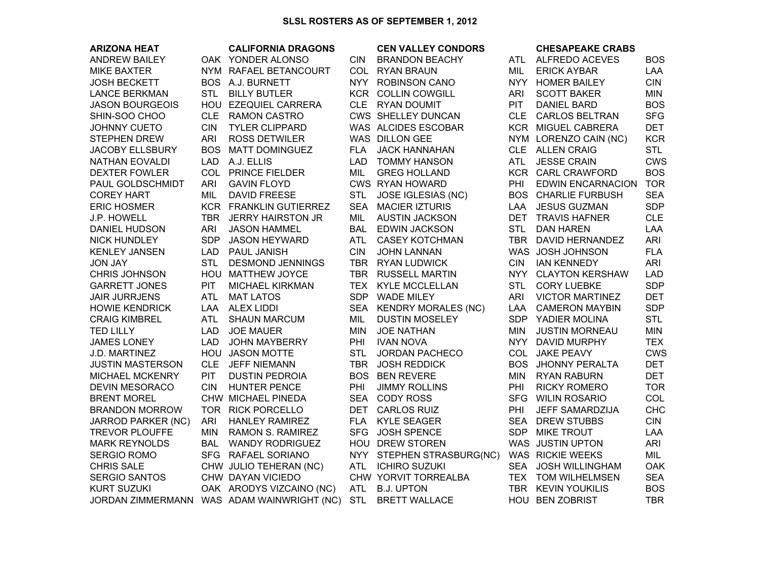## **SLSL ROSTERS AS OF SEPTEMBER 1, 2012**

| <b>ARIZONA HEAT</b>       |            | <b>CALIFORNIA DRAGONS</b>                  |            | <b>CEN VALLEY CONDORS</b> |            | <b>CHESAPEAKE CRABS</b>    |            |
|---------------------------|------------|--------------------------------------------|------------|---------------------------|------------|----------------------------|------------|
| <b>ANDREW BAILEY</b>      |            | OAK YONDER ALONSO                          | <b>CIN</b> | <b>BRANDON BEACHY</b>     |            | ATL ALFREDO ACEVES         | <b>BOS</b> |
| <b>MIKE BAXTER</b>        |            | NYM RAFAEL BETANCOURT                      |            | COL RYAN BRAUN            | MIL        | <b>ERICK AYBAR</b>         | <b>LAA</b> |
| <b>JOSH BECKETT</b>       |            | BOS A.J. BURNETT                           | NYY .      | <b>ROBINSON CANO</b>      | NYY.       | <b>HOMER BAILEY</b>        | <b>CIN</b> |
| <b>LANCE BERKMAN</b>      | <b>STL</b> | <b>BILLY BUTLER</b>                        |            | <b>KCR COLLIN COWGILL</b> | <b>ARI</b> | <b>SCOTT BAKER</b>         | <b>MIN</b> |
| <b>JASON BOURGEOIS</b>    |            | HOU EZEQUIEL CARRERA                       |            | CLE RYAN DOUMIT           | <b>PIT</b> | <b>DANIEL BARD</b>         | <b>BOS</b> |
| SHIN-SOO CHOO             |            | CLE RAMON CASTRO                           |            | CWS SHELLEY DUNCAN        |            | CLE CARLOS BELTRAN         | <b>SFG</b> |
| JOHNNY CUETO              | <b>CIN</b> | <b>TYLER CLIPPARD</b>                      |            | WAS ALCIDES ESCOBAR       |            | KCR MIGUEL CABRERA         | <b>DET</b> |
| <b>STEPHEN DREW</b>       | <b>ARI</b> | <b>ROSS DETWILER</b>                       |            | WAS DILLON GEE            |            | NYM LORENZO CAIN (NC)      | <b>KCR</b> |
| <b>JACOBY ELLSBURY</b>    | <b>BOS</b> | <b>MATT DOMINGUEZ</b>                      | <b>FLA</b> | <b>JACK HANNAHAN</b>      |            | CLE ALLEN CRAIG            | <b>STL</b> |
| NATHAN EOVALDI            | <b>LAD</b> | A.J. ELLIS                                 | <b>LAD</b> | <b>TOMMY HANSON</b>       | ATL        | <b>JESSE CRAIN</b>         | <b>CWS</b> |
| <b>DEXTER FOWLER</b>      |            | COL PRINCE FIELDER                         | MIL        | <b>GREG HOLLAND</b>       |            | KCR CARL CRAWFORD          | <b>BOS</b> |
| PAUL GOLDSCHMIDT          | <b>ARI</b> | <b>GAVIN FLOYD</b>                         |            | <b>CWS RYAN HOWARD</b>    | PHI        | <b>EDWIN ENCARNACION</b>   | <b>TOR</b> |
| <b>COREY HART</b>         | MIL        | <b>DAVID FREESE</b>                        | <b>STL</b> | <b>JOSE IGLESIAS (NC)</b> |            | <b>BOS CHARLIE FURBUSH</b> | <b>SEA</b> |
| <b>ERIC HOSMER</b>        |            | KCR FRANKLIN GUTIERREZ                     | <b>SEA</b> | <b>MACIER IZTURIS</b>     | LAA        | <b>JESUS GUZMAN</b>        | <b>SDP</b> |
| J.P. HOWELL               |            | TBR JERRY HAIRSTON JR                      | MIL        | <b>AUSTIN JACKSON</b>     | <b>DET</b> | <b>TRAVIS HAFNER</b>       | <b>CLE</b> |
| <b>DANIEL HUDSON</b>      | ARI        | <b>JASON HAMMEL</b>                        | <b>BAL</b> | <b>EDWIN JACKSON</b>      | <b>STL</b> | <b>DAN HAREN</b>           | LAA        |
| NICK HUNDLEY              | <b>SDP</b> | <b>JASON HEYWARD</b>                       | <b>ATL</b> | <b>CASEY KOTCHMAN</b>     | TBR        | DAVID HERNANDEZ            | <b>ARI</b> |
| <b>KENLEY JANSEN</b>      |            | LAD PAUL JANISH                            | <b>CIN</b> | <b>JOHN LANNAN</b>        |            | WAS JOSH JOHNSON           | <b>FLA</b> |
| YAL <i>I</i> OL           | <b>STL</b> | <b>DESMOND JENNINGS</b>                    | TBR        | <b>RYAN LUDWICK</b>       | CIN.       | <b>IAN KENNEDY</b>         | ARI        |
| <b>CHRIS JOHNSON</b>      |            | HOU MATTHEW JOYCE                          |            | TBR RUSSELL MARTIN        |            | NYY CLAYTON KERSHAW        | <b>LAD</b> |
| <b>GARRETT JONES</b>      | <b>PIT</b> | <b>MICHAEL KIRKMAN</b>                     | TEX        | <b>KYLE MCCLELLAN</b>     | <b>STL</b> | <b>CORY LUEBKE</b>         | <b>SDP</b> |
| <b>JAIR JURRJENS</b>      | <b>ATL</b> | <b>MAT LATOS</b>                           | SDP        | <b>WADE MILEY</b>         | ARI        | <b>VICTOR MARTINEZ</b>     | <b>DET</b> |
| <b>HOWIE KENDRICK</b>     |            | LAA ALEX LIDDI                             |            | SEA KENDRY MORALES (NC)   | LAA        | <b>CAMERON MAYBIN</b>      | <b>SDP</b> |
| <b>CRAIG KIMBREL</b>      | <b>ATL</b> | <b>SHAUN MARCUM</b>                        | MIL        | <b>DUSTIN MOSELEY</b>     | SDP        | YADIER MOLINA              | <b>STL</b> |
| <b>TED LILLY</b>          | <b>LAD</b> | <b>JOE MAUER</b>                           | <b>MIN</b> | <b>JOE NATHAN</b>         | <b>MIN</b> | <b>JUSTIN MORNEAU</b>      | <b>MIN</b> |
| <b>JAMES LONEY</b>        | LAD        | <b>JOHN MAYBERRY</b>                       | PHI        | <b>IVAN NOVA</b>          | <b>NYY</b> | DAVID MURPHY               | <b>TEX</b> |
| J.D. MARTINEZ             |            | HOU JASON MOTTE                            | <b>STL</b> | <b>JORDAN PACHECO</b>     | <b>COL</b> | <b>JAKE PEAVY</b>          | <b>CWS</b> |
| <b>JUSTIN MASTERSON</b>   |            | CLE JEFF NIEMANN                           |            | TBR JOSH REDDICK          | <b>BOS</b> | <b>JHONNY PERALTA</b>      | <b>DET</b> |
| MICHAEL MCKENRY           | PIT.       | <b>DUSTIN PEDROIA</b>                      |            | <b>BOS BEN REVERE</b>     | <b>MIN</b> | <b>RYAN RABURN</b>         | <b>DET</b> |
| <b>DEVIN MESORACO</b>     | <b>CIN</b> | HUNTER PENCE                               | PHI        | <b>JIMMY ROLLINS</b>      | PHI        | <b>RICKY ROMERO</b>        | <b>TOR</b> |
| <b>BRENT MOREL</b>        |            | CHW MICHAEL PINEDA                         |            | SEA CODY ROSS             |            | SFG WILIN ROSARIO          | COL        |
| <b>BRANDON MORROW</b>     |            | TOR RICK PORCELLO                          |            | DET CARLOS RUIZ           | PHI        | JEFF SAMARDZIJA            | <b>CHC</b> |
| <b>JARROD PARKER (NC)</b> | ARI        | <b>HANLEY RAMIREZ</b>                      |            | FLA KYLE SEAGER           | <b>SEA</b> | <b>DREW STUBBS</b>         | <b>CIN</b> |
| <b>TREVOR PLOUFFE</b>     | <b>MIN</b> | RAMON S. RAMIREZ                           | <b>SFG</b> | <b>JOSH SPENCE</b>        | <b>SDP</b> | <b>MIKE TROUT</b>          | LAA        |
| <b>MARK REYNOLDS</b>      | <b>BAL</b> | <b>WANDY RODRIGUEZ</b>                     |            | HOU DREW STOREN           |            | WAS JUSTIN UPTON           | <b>ARI</b> |
| SERGIO ROMO               |            | SFG RAFAEL SORIANO                         |            | NYY STEPHEN STRASBURG(NC) |            | <b>WAS RICKIE WEEKS</b>    | MIL        |
| <b>CHRIS SALE</b>         |            | CHW JULIO TEHERAN (NC)                     | <b>ATL</b> | <b>ICHIRO SUZUKI</b>      | <b>SEA</b> | <b>JOSH WILLINGHAM</b>     | <b>OAK</b> |
| <b>SERGIO SANTOS</b>      |            | CHW DAYAN VICIEDO                          |            | CHW YORVIT TORREALBA      |            | TEX TOM WILHELMSEN         | <b>SEA</b> |
| <b>KURT SUZUKI</b>        |            | OAK ARODYS VIZCAINO (NC)                   | ATL        | <b>B.J. UPTON</b>         |            | TBR KEVIN YOUKILIS         | <b>BOS</b> |
|                           |            | JORDAN ZIMMERMANN WAS ADAM WAINWRIGHT (NC) | <b>STL</b> | <b>BRETT WALLACE</b>      |            | HOU BEN ZOBRIST            | <b>TBR</b> |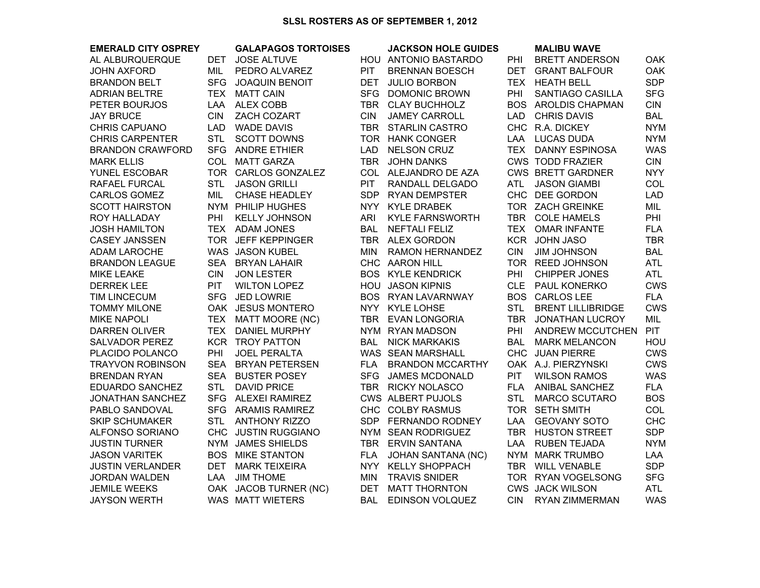## **SLSL ROSTERS AS OF SEPTEMBER 1, 2012**

| <b>EMERALD CITY OSPREY</b> |            | <b>GALAPAGOS TORTOISES</b> |            | <b>JACKSON HOLE GUIDES</b> |            | <b>MALIBU WAVE</b>         |            |
|----------------------------|------------|----------------------------|------------|----------------------------|------------|----------------------------|------------|
| AL ALBURQUERQUE            | DET        | <b>JOSE ALTUVE</b>         |            | HOU ANTONIO BASTARDO       | PHI        | <b>BRETT ANDERSON</b>      | <b>OAK</b> |
| <b>JOHN AXFORD</b>         | MIL        | PEDRO ALVAREZ              | <b>PIT</b> | <b>BRENNAN BOESCH</b>      | DET        | <b>GRANT BALFOUR</b>       | <b>OAK</b> |
| <b>BRANDON BELT</b>        | <b>SFG</b> | <b>JOAQUIN BENOIT</b>      | <b>DET</b> | <b>JULIO BORBON</b>        |            | TEX HEATH BELL             | <b>SDP</b> |
| <b>ADRIAN BELTRE</b>       |            | TEX MATT CAIN              |            | SFG DOMONIC BROWN          | PHI        | SANTIAGO CASILLA           | <b>SFG</b> |
| PETER BOURJOS              |            | LAA ALEX COBB              |            | TBR CLAY BUCHHOLZ          |            | <b>BOS AROLDIS CHAPMAN</b> | <b>CIN</b> |
| <b>JAY BRUCE</b>           | <b>CIN</b> | ZACH COZART                | <b>CIN</b> | <b>JAMEY CARROLL</b>       |            | LAD CHRIS DAVIS            | <b>BAL</b> |
| <b>CHRIS CAPUANO</b>       | <b>LAD</b> | <b>WADE DAVIS</b>          |            | TBR STARLIN CASTRO         |            | CHC R.A. DICKEY            | <b>NYM</b> |
| <b>CHRIS CARPENTER</b>     | <b>STL</b> | <b>SCOTT DOWNS</b>         |            | TOR HANK CONGER            | LAA        | <b>LUCAS DUDA</b>          | <b>NYM</b> |
| <b>BRANDON CRAWFORD</b>    |            | SFG ANDRE ETHIER           | <b>LAD</b> | <b>NELSON CRUZ</b>         |            | TEX DANNY ESPINOSA         | <b>WAS</b> |
| <b>MARK ELLIS</b>          |            | COL MATT GARZA             |            | TBR JOHN DANKS             |            | <b>CWS TODD FRAZIER</b>    | <b>CIN</b> |
| YUNEL ESCOBAR              |            | TOR CARLOS GONZALEZ        |            | COL ALEJANDRO DE AZA       |            | <b>CWS BRETT GARDNER</b>   | <b>NYY</b> |
| RAFAEL FURCAL              | <b>STL</b> | <b>JASON GRILLI</b>        | <b>PIT</b> | RANDALL DELGADO            | ATL        | <b>JASON GIAMBI</b>        | COL        |
| CARLOS GOMEZ               | MIL        | CHASE HEADLEY              | SDP        | <b>RYAN DEMPSTER</b>       |            | CHC DEE GORDON             | <b>LAD</b> |
| <b>SCOTT HAIRSTON</b>      |            | NYM PHILIP HUGHES          | <b>NYY</b> | <b>KYLE DRABEK</b>         |            | TOR ZACH GREINKE           | MIL        |
| ROY HALLADAY               | PHI        | <b>KELLY JOHNSON</b>       | <b>ARI</b> | <b>KYLE FARNSWORTH</b>     |            | TBR COLE HAMELS            | PHI        |
| <b>JOSH HAMILTON</b>       |            | TEX ADAM JONES             | BAL        | <b>NEFTALI FELIZ</b>       |            | TEX OMAR INFANTE           | <b>FLA</b> |
| <b>CASEY JANSSEN</b>       |            | TOR JEFF KEPPINGER         |            | TBR ALEX GORDON            |            | KCR JOHN JASO              | <b>TBR</b> |
| <b>ADAM LAROCHE</b>        |            | WAS JASON KUBEL            | <b>MIN</b> | RAMON HERNANDEZ            | <b>CIN</b> | <b>JIM JOHNSON</b>         | <b>BAL</b> |
| <b>BRANDON LEAGUE</b>      |            | SEA BRYAN LAHAIR           |            | CHC AARON HILL             |            | TOR REED JOHNSON           | <b>ATL</b> |
| <b>MIKE LEAKE</b>          | <b>CIN</b> | <b>JON LESTER</b>          |            | <b>BOS KYLE KENDRICK</b>   | PHI        | <b>CHIPPER JONES</b>       | <b>ATL</b> |
| <b>DERREK LEE</b>          | <b>PIT</b> | <b>WILTON LOPEZ</b>        |            | <b>HOU JASON KIPNIS</b>    |            | CLE PAUL KONERKO           | <b>CWS</b> |
| <b>TIM LINCECUM</b>        | <b>SFG</b> | <b>JED LOWRIE</b>          |            | BOS RYAN LAVARNWAY         |            | <b>BOS CARLOS LEE</b>      | <b>FLA</b> |
| <b>TOMMY MILONE</b>        |            | OAK JESUS MONTERO          |            | NYY KYLE LOHSE             | <b>STL</b> | <b>BRENT LILLIBRIDGE</b>   | <b>CWS</b> |
| <b>MIKE NAPOLI</b>         | TEX        | <b>MATT MOORE (NC)</b>     |            | TBR EVAN LONGORIA          | <b>TBR</b> | <b>JONATHAN LUCROY</b>     | MIL        |
| <b>DARREN OLIVER</b>       |            | TEX DANIEL MURPHY          |            | NYM RYAN MADSON            | PHI        | ANDREW MCCUTCHEN           | <b>PIT</b> |
| <b>SALVADOR PEREZ</b>      |            | <b>KCR TROY PATTON</b>     | BAL        | <b>NICK MARKAKIS</b>       | BAL        | <b>MARK MELANCON</b>       | HOU        |
| PLACIDO POLANCO            | PHI        | <b>JOEL PERALTA</b>        |            | WAS SEAN MARSHALL          |            | CHC JUAN PIERRE            | <b>CWS</b> |
| <b>TRAYVON ROBINSON</b>    |            | SEA BRYAN PETERSEN         | FLA        | <b>BRANDON MCCARTHY</b>    |            | OAK A.J. PIERZYNSKI        | <b>CWS</b> |
| <b>BRENDAN RYAN</b>        |            | SEA BUSTER POSEY           | <b>SFG</b> | <b>JAMES MCDONALD</b>      | <b>PIT</b> | <b>WILSON RAMOS</b>        | <b>WAS</b> |
| EDUARDO SANCHEZ            | <b>STL</b> | <b>DAVID PRICE</b>         |            | TBR RICKY NOLASCO          | <b>FLA</b> | ANIBAL SANCHEZ             | <b>FLA</b> |
| <b>JONATHAN SANCHEZ</b>    |            | SFG ALEXEI RAMIREZ         |            | <b>CWS ALBERT PUJOLS</b>   | <b>STL</b> | <b>MARCO SCUTARO</b>       | <b>BOS</b> |
| PABLO SANDOVAL             |            | SFG ARAMIS RAMIREZ         |            | CHC COLBY RASMUS           |            | TOR SETH SMITH             | COL        |
| <b>SKIP SCHUMAKER</b>      | <b>STL</b> | <b>ANTHONY RIZZO</b>       |            | SDP FERNANDO RODNEY        | LAA        | <b>GEOVANY SOTO</b>        | <b>CHC</b> |
| ALFONSO SORIANO            |            | CHC JUSTIN RUGGIANO        |            | NYM SEAN RODRIGUEZ         |            | TBR HUSTON STREET          | <b>SDP</b> |
| <b>JUSTIN TURNER</b>       |            | NYM JAMES SHIELDS          | TBR        | <b>ERVIN SANTANA</b>       | LAA        | RUBEN TEJADA               | <b>NYM</b> |
| <b>JASON VARITEK</b>       |            | <b>BOS MIKE STANTON</b>    | <b>FLA</b> | JOHAN SANTANA (NC)         |            | NYM MARK TRUMBO            | LAA        |
| <b>JUSTIN VERLANDER</b>    |            | DET MARK TEIXEIRA          |            | NYY KELLY SHOPPACH         |            | TBR WILL VENABLE           | <b>SDP</b> |
| <b>JORDAN WALDEN</b>       | LAA        | <b>JIM THOME</b>           | <b>MIN</b> | <b>TRAVIS SNIDER</b>       |            | TOR RYAN VOGELSONG         | <b>SFG</b> |
| <b>JEMILE WEEKS</b>        |            | OAK JACOB TURNER (NC)      | DET        | <b>MATT THORNTON</b>       |            | <b>CWS JACK WILSON</b>     | <b>ATL</b> |
| <b>JAYSON WERTH</b>        |            | WAS MATT WIETERS           | <b>BAL</b> | <b>EDINSON VOLQUEZ</b>     | <b>CIN</b> | <b>RYAN ZIMMERMAN</b>      | <b>WAS</b> |